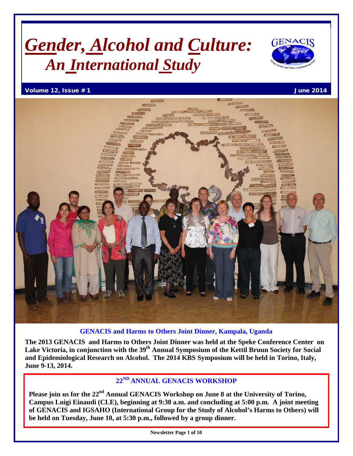# *Gender, Alcohol and Culture: An International Study*



Volume 12, Issue # 1 June 2014



#### **GENACIS and Harms to Others Joint Dinner, Kampala, Uganda**

**The 2013 GENACIS and Harms to Others Joint Dinner was held at the Speke Conference Center on**  Lake Victoria, in conjunction with the 39<sup>th</sup> Annual Symposium of the Kettil Bruun Society for Social **and Epidemiological Research on Alcohol. The 2014 KBS Symposium will be held in Torino, Italy, June 9-13, 2014.**

### **22ND ANNUAL GENACIS WORKSHOP**

Please join us for the 22<sup>nd</sup> Annual GENACIS Workshop on June 8 at the University of Torino, **Campus Luigi Einaudi (CLE), beginning at 9:30 a.m. and concluding at 5:00 p.m. A joint meeting of GENACIS and IGSAHO (International Group for the Study of Alcohol's Harms to Others) will be held on Tuesday, June 10, at 5:30 p.m., followed by a group dinner.**

**Newsletter Page 1 of 10**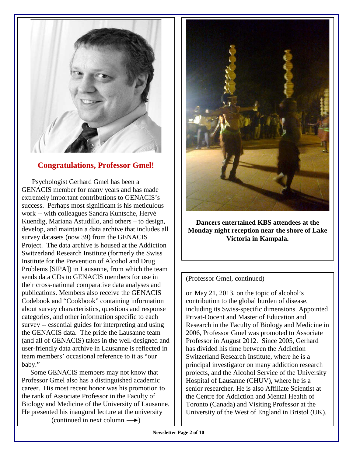

#### **Congratulations, Professor Gmel!**

 Psychologist Gerhard Gmel has been a GENACIS member for many years and has made extremely important contributions to GENACIS's success. Perhaps most significant is his meticulous work -- with colleagues Sandra Kuntsche, Hervé Kuendig, Mariana Astudillo, and others – to design, develop, and maintain a data archive that includes all survey datasets (now 39) from the GENACIS Project. The data archive is housed at the Addiction Switzerland Research Institute (formerly the Swiss Institute for the Prevention of Alcohol and Drug Problems [SIPA]) in Lausanne, from which the team sends data CDs to GENACIS members for use in their cross-national comparative data analyses and publications. Members also receive the GENACIS Codebook and "Cookbook" containing information about survey characteristics, questions and response categories, and other information specific to each survey -- essential guides for interpreting and using the GENACIS data. The pride the Lausanne team (and all of GENACIS) takes in the well-designed and user-friendly data archive in Lausanne is reflected in team members' occasional reference to it as "our baby."

 Some GENACIS members may not know that Professor Gmel also has a distinguished academic career. His most recent honor was his promotion to the rank of Associate Professor in the Faculty of Biology and Medicine of the University of Lausanne. He presented his inaugural lecture at the university (continued in next column  $\longrightarrow$ )



**Dancers entertained KBS attendees at the Monday night reception near the shore of Lake Victoria in Kampala.**

#### (Professor Gmel, continued)

on May 21, 2013, on the topic of alcohol's contribution to the global burden of disease, including its Swiss-specific dimensions. Appointed Privat-Docent and Master of Education and Research in the Faculty of Biology and Medicine in 2006, Professor Gmel was promoted to Associate Professor in August 2012. Since 2005, Gerhard has divided his time between the Addiction Switzerland Research Institute, where he is a principal investigator on many addiction research projects, and the Alcohol Service of the University Hospital of Lausanne (CHUV), where he is a senior researcher. He is also Affiliate Scientist at the Centre for Addiction and Mental Health of Toronto (Canada) and Visiting Professor at the University of the West of England in Bristol (UK).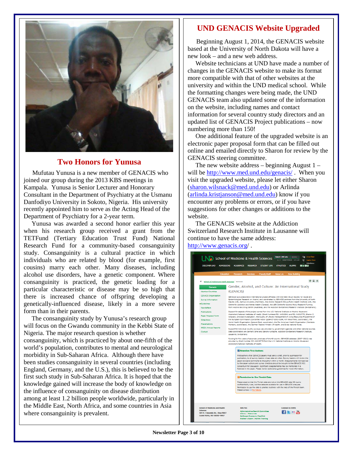

#### **Two Honors for Yunusa**

Mufutau Yunusa is a new member of GENACIS who joined our group during the 2013 KBS meetings in Kampala. Yunusa is Senior Lecturer and Honorary Consultant in the Department of Psychiatry at the Usmanu Danfodiyo University in Sokoto, Nigeria. His university recently appointed him to serve as the Acting Head of the Department of Psychiatry for a 2-year term.

 Yunusa was awarded a second honor earlier this year when his research group received a grant from the TETFund (Tertiary Education Trust Fund) National Research Fund for a community-based consanguinity study. Consanguinity is a cultural practice in which individuals who are related by blood (for example, first cousins) marry each other. Many diseases, including alcohol use disorders, have a genetic component. Where consanguinity is practiced, the genetic loading for a particular characteristic or disease may be so high that there is increased chance of offspring developing a genetically-influenced disease, likely in a more severe form than in their parents.

 The consanguinity study by Yunusa's research group will focus on the Gwandu community in the Kebbi State of Nigeria. The major research question is whether consanguinity, which is practiced by about one-fifth of the world's population, contributes to mental and neurological morbidity in Sub-Saharan Africa. Although there have been studies consanguinity in several countries (including England, Germany, and the U.S.), this is believed to be the first such study in Sub-Saharan Africa. It is hoped that the knowledge gained will increase the body of knowledge on the influence of consanguinity on disease distribution among at least 1.2 billion people worldwide, particularly in the Middle East, North Africa, and some countries in Asia where consanguinity is prevalent.

#### **UND GENACIS Website Upgraded**

 Beginning August 1, 2014, the GENACIS website based at the University of North Dakota will have a new look – and a new web address.

 Website technicians at UND have made a number of changes in the GENACIS website to make its format more compatible with that of other websites at the university and within the UND medical school. While the formatting changes were being made, the UND GENACIS team also updated some of the information on the website, including names and contact information for several country study directors and an updated list of GENACIS Project publications – now numbering more than 150!

 One additional feature of the upgraded website is an electronic paper proposal form that can be filled out online and emailed directly to Sharon for review by the GENACIS steering committee.

The new website address  $-$  beginning August 1  $$ will be<http://www.med.und.edu/genacis/>. When you visit the upgraded website, please let either Sharon (sharon.wilsnack@med.und.edu) or Arlinda [\(arlinda.kristjanson@med.und.edu\)](mailto:arlinda.kristjanson@med.und.edu) know if you encounter any problems or errors, or if you have suggestions for other changes or additions to the website.

 The GENACIS website at the Addiction Switzerland Research Institute in Lausanne will continue to have the same address: <http://www.genacis.org/> .

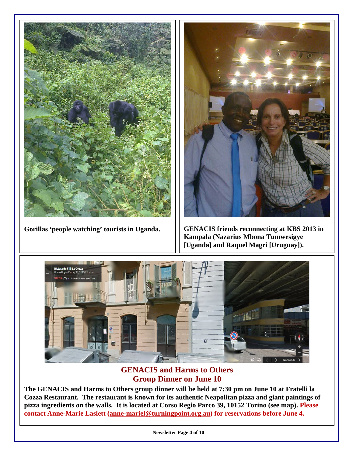

Gorillas 'people watching' tourists in Uganda. | | GENACIS friends reconnecting at KBS 2013 in



**Kampala (Nazarius Mbona Tumwesigye [Uganda] and Raquel Magri [Uruguay]).**



### **GENACIS and Harms to Others Group Dinner on June 10**

**The GENACIS and Harms to Others group dinner will be held at 7:30 pm on June 10 at Fratelli la Cozza Restaurant. The restaurant is known for its authentic Neapolitan pizza and giant paintings of pizza ingredients on the walls. It is located at Corso Regio Parco 39, 10152 Torino (see map). Please contact Anne-Marie Laslett [\(anne-mariel@turningpoint.org.au\)](mailto:anne-mariel@turningpoint.org.au) for reservations before June 4.**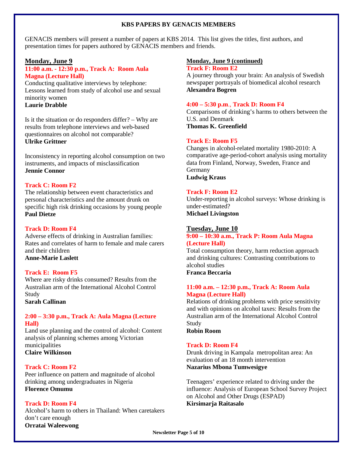#### **KBS PAPERS BY GENACIS MEMBERS**

GENACIS members will present a number of papers at KBS 2014. This list gives the titles, first authors, and presentation times for papers authored by GENACIS members and friends.

#### **Monday, June 9**

#### **11:00 a.m. - 12:30 p.m., Track A: Room Aula Magna (Lecture Hall)**

Conducting qualitative interviews by telephone: Lessons learned from study of alcohol use and sexual minority women **Laurie Drabble**

Is it the situation or do responders differ? – Why are results from telephone interviews and web-based questionnaires on alcohol not comparable? **Ulrike Grittner**

Inconsistency in reporting alcohol consumption on two instruments, and impacts of misclassification **Jennie Connor**

#### **Track C: Room F2**

The relationship between event characteristics and personal characteristics and the amount drunk on specific high risk drinking occasions by young people **Paul Dietze**

#### **Track D: Room F4**

Adverse effects of drinking in Australian families: Rates and correlates of harm to female and male carers and their children **Anne-Marie Laslett**

#### **Track E: Room F5**

Where are risky drinks consumed? Results from the Australian arm of the International Alcohol Control Study

**Sarah Callinan**

#### **2:00 – 3:30 p.m., Track A: Aula Magna (Lecture Hall)**

Land use planning and the control of alcohol: Content analysis of planning schemes among Victorian municipalities

**Claire Wilkinson**

#### **Track C: Room F2**

Peer influence on pattern and magnitude of alcohol drinking among undergraduates in Nigeria **Florence Omumu**

#### **Track D: Room F4**

Alcohol's harm to others in Thailand: When caretakers don't care enough **Orratai Waleewong**

#### **Monday, June 9 (continued)**

#### **Track F: Room E2**

A journey through your brain: An analysis of Swedish newspaper portrayals of biomedical alcohol research **Alexandra Bogren**

#### **4:00 – 5:30 p.m**., **Track D: Room F4**

Comparisons of drinking's harms to others between the U.S. and Denmark

**Thomas K. Greenfield**

#### **Track E: Room F5**

Changes in alcohol-related mortality 1980-2010: A comparative age-period-cohort analysis using mortality data from Finland, Norway, Sweden, France and Germany **Ludwig Kraus**

#### **Track F: Room E2**

Under-reporting in alcohol surveys: Whose drinking is under-estimated? **Michael Livingston**

#### **Tuesday, June 10**

#### **9:00 – 10:30 a.m., Track P: Room Aula Magna (Lecture Hall)**

Total consumption theory, harm reduction approach and drinking cultures: Contrasting contributions to alcohol studies **Franca Beccaria**

#### **11:00 a.m. – 12:30 p.m., Track A: Room Aula Magna (Lecture Hall)**

Relations of drinking problems with price sensitivity and with opinions on alcohol taxes: Results from the Australian arm of the International Alcohol Control Study

**Robin Room**

#### **Track D: Room F4**

Drunk driving in Kampala metropolitan area: An evaluation of an 18 month intervention **Nazarius Mbona Tumwesigye**

Teenagers' experience related to driving under the influence: Analysis of European School Survey Project on Alcohol and Other Drugs (ESPAD) **Kirsimarja Raitasalo**

**Newsletter Page 5 of 10**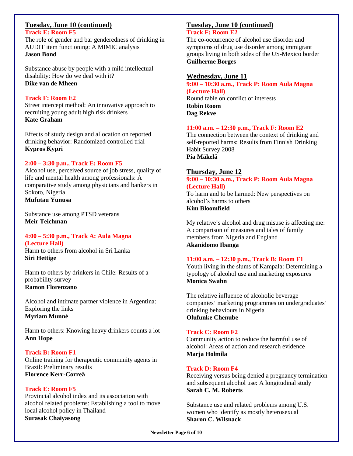#### **Tuesday, June 10 (continued)**

**Track E: Room F5**

The role of gender and bar genderedness of drinking in AUDIT item functioning: A MIMIC analysis **Jason Bond**

Substance abuse by people with a mild intellectual disability: How do we deal with it? **Dike van de Mheen**

#### **Track F: Room E2**

Street intercept method: An innovative approach to recruiting young adult high risk drinkers **Kate Graham**

Effects of study design and allocation on reported drinking behavior: Randomized controlled trial **Kypros Kypri**

#### **2:00 – 3:30 p.m., Track E: Room F5**

Alcohol use, perceived source of job stress, quality of life and mental health among professionals: A comparative study among physicians and bankers in Sokoto, Nigeria **Mufutau Yunusa**

Substance use among PTSD veterans **Meir Teichman**

#### **4:00 – 5:30 p.m., Track A: Aula Magna (Lecture Hall)**

Harm to others from alcohol in Sri Lanka **Siri Hettige**

Harm to others by drinkers in Chile: Results of a probability survey **Ramon Florenzano**

Alcohol and intimate partner violence in Argentina: Exploring the links **Myriam Munné**

Harm to others: Knowing heavy drinkers counts a lot **Ann Hope**

#### **Track B: Room F1**

Online training for therapeutic community agents in Brazil: Preliminary results **Florence Kerr-Correâ**

#### **Track E: Room F5**

Provincial alcohol index and its association with alcohol related problems: Establishing a tool to move local alcohol policy in Thailand **Surasak Chaiyasong**

#### **Tuesday, June 10 (continued) Track F: Room E2**

The co-occurrence of alcohol use disorder and symptoms of drug use disorder among immigrant groups living in both sides of the US-Mexico border **Guilherme Borges**

#### **Wednesday, June 11**

**9:00 – 10:30 a.m., Track P: Room Aula Magna (Lecture Hall)** Round table on conflict of interests **Robin Room Dag Rekve**

#### **11:00 a.m. – 12:30 p.m., Track F: Room E2**

The connection between the context of drinking and self-reported harms: Results from Finnish Drinking Habit Survey 2008 **Pia Mäkelä**

#### **Thursday, June 12**

#### **9:00 – 10:30 a.m., Track P: Room Aula Magna (Lecture Hall)**

To harm and to be harmed: New perspectives on alcohol's harms to others **Kim Bloomfield**

My relative's alcohol and drug misuse is affecting me: A comparison of measures and tales of family members from Nigeria and England **Akanidomo Ibanga**

#### **11:00 a.m. – 12:30 p.m., Track B: Room F1**

Youth living in the slums of Kampala: Determining a typology of alcohol use and marketing exposures **Monica Swahn**

The relative influence of alcoholic beverage companies' marketing programmes on undergraduates' drinking behaviours in Nigeria **Olufunke Chenube**

#### **Track C: Room F2**

Community action to reduce the harmful use of alcohol: Areas of action and research evidence **Marja Holmila**

#### **Track D: Room F4**

Receiving versus being denied a pregnancy termination and subsequent alcohol use: A longitudinal study **Sarah C. M. Roberts**

Substance use and related problems among U.S. women who identify as mostly heterosexual **Sharon C. Wilsnack**

**Newsletter Page 6 of 10**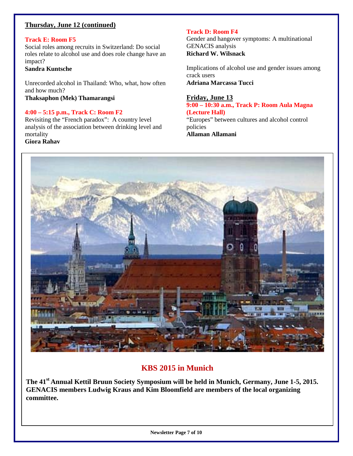#### **Thursday, June 12 (continued)**

#### **Track E: Room F5**

Social roles among recruits in Switzerland: Do social roles relate to alcohol use and does role change have an impact?

#### **Sandra Kuntsche**

Unrecorded alcohol in Thailand: Who, what, how often and how much?

**Thaksaphon (Mek) Thamarangsi**

### **4:00 – 5:15 p.m., Track C: Room F2**

Revisiting the "French paradox": A country level analysis of the association between drinking level and mortality

#### **Giora Rahav**

#### **Track D: Room F4**

Gender and hangover symptoms: A multinational GENACIS analysis **Richard W. Wilsnack**

Implications of alcohol use and gender issues among crack users **Adriana Marcassa Tucci**

#### **Friday, June 13**

#### **9:00 – 10:30 a.m., Track P: Room Aula Magna (Lecture Hall)**

"Europes" between cultures and alcohol control policies **Allaman Allamani**

**Himelical** 

### **KBS 2015 in Munich**

**The 41st Annual Kettil Bruun Society Symposium will be held in Munich, Germany, June 1-5, 2015. GENACIS members Ludwig Kraus and Kim Bloomfield are members of the local organizing committee.**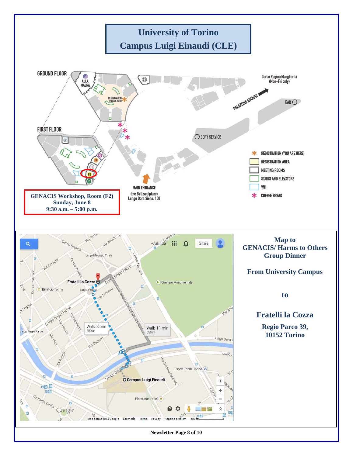

**Newsletter Page 8 of 10**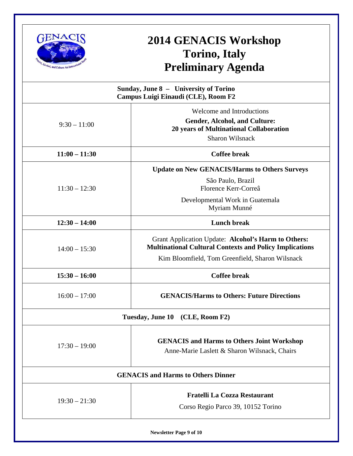

## **2014 GENACIS Workshop Torino, Italy Preliminary Agenda**

| Sunday, June 8 - University of Torino<br>Campus Luigi Einaudi (CLE), Room F2                                                                                             |
|--------------------------------------------------------------------------------------------------------------------------------------------------------------------------|
| <b>Welcome and Introductions</b><br><b>Gender, Alcohol, and Culture:</b><br>20 years of Multinational Collaboration<br><b>Sharon Wilsnack</b>                            |
| Coffee break                                                                                                                                                             |
| <b>Update on New GENACIS/Harms to Others Surveys</b><br>São Paulo, Brazil<br>Florence Kerr-Correâ<br>Developmental Work in Guatemala<br>Myriam Munné                     |
| Lunch break                                                                                                                                                              |
| Grant Application Update: Alcohol's Harm to Others:<br><b>Multinational Cultural Contexts and Policy Implications</b><br>Kim Bloomfield, Tom Greenfield, Sharon Wilsnack |
| <b>Coffee break</b>                                                                                                                                                      |
| <b>GENACIS/Harms to Others: Future Directions</b>                                                                                                                        |
| Tuesday, June 10 (CLE, Room F2)                                                                                                                                          |
| <b>GENACIS and Harms to Others Joint Workshop</b><br>Anne-Marie Laslett & Sharon Wilsnack, Chairs                                                                        |
| <b>GENACIS and Harms to Others Dinner</b>                                                                                                                                |
| Fratelli La Cozza Restaurant<br>Corso Regio Parco 39, 10152 Torino                                                                                                       |
|                                                                                                                                                                          |